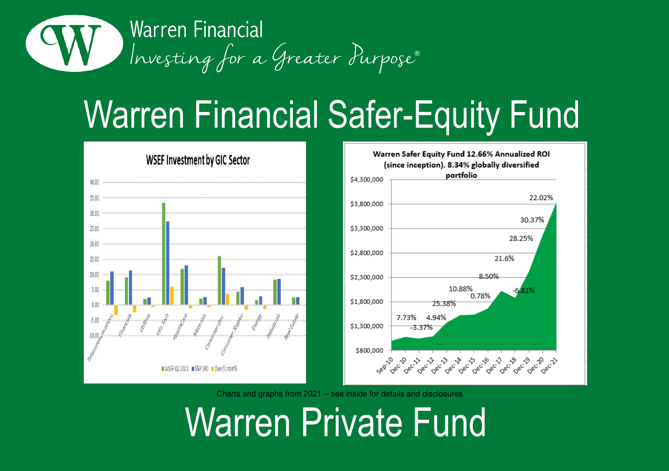



Charts and graphs from 2021 – see inside for details and disclosures

Warren Private Fund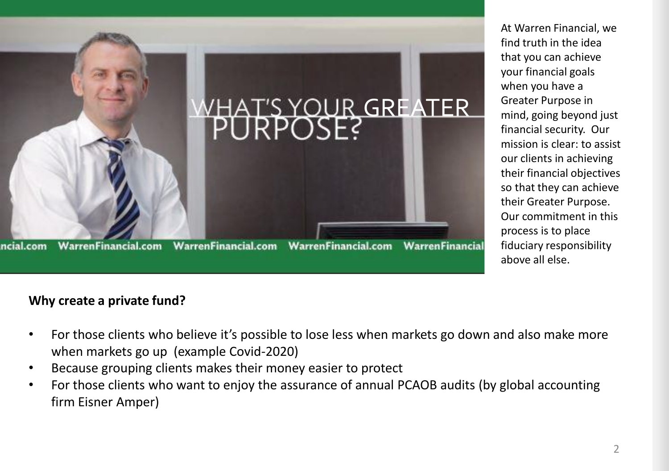

At Warren Financial, we find truth in the idea that you can achieve your financial goals when you have a Greater Purpose in mind, going beyond just financial security. Our mission is clear: to assist our clients in achieving their financial objectives so that they can achieve their Greater Purpose. Our commitment in this process is to place fiduciary responsibility above all else.

### **Why create a private fund?**

- For those clients who believe it's possible to lose less when markets go down and also make more when markets go up (example Covid-2020)
- Because grouping clients makes their money easier to protect
- For those clients who want to enjoy the assurance of annual PCAOB audits (by global accounting firm Eisner Amper)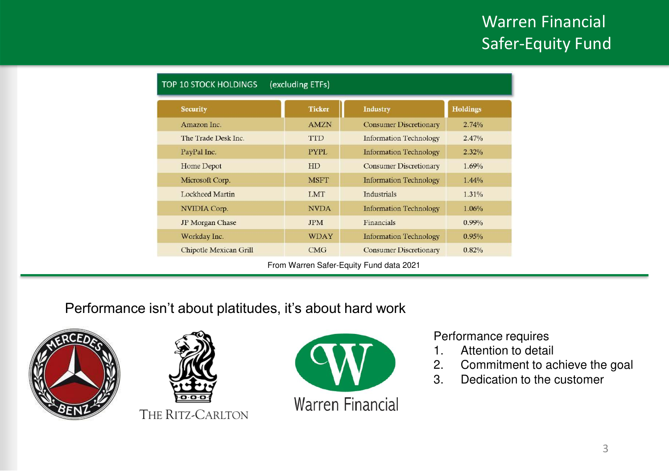| <b>TOP 10 STOCK HOLDINGS</b><br>(excluding ETFs) |               |                               |                 |  |
|--------------------------------------------------|---------------|-------------------------------|-----------------|--|
| <b>Security</b>                                  | <b>Ticker</b> | <b>Industry</b>               | <b>Holdings</b> |  |
| Amazon Inc.                                      | <b>AMZN</b>   | <b>Consumer Discretionary</b> | 2.74%           |  |
| The Trade Desk Inc.                              | <b>TTD</b>    | <b>Information Technology</b> | 2.47%           |  |
| PayPal Inc.                                      | <b>PYPL</b>   | <b>Information Technology</b> | 2.32%           |  |
| Home Depot                                       | <b>HD</b>     | <b>Consumer Discretionary</b> | 1.69%           |  |
| Microsoft Corp.                                  | <b>MSFT</b>   | <b>Information Technology</b> | 1.44%           |  |
| Lockheed Martin                                  | <b>LMT</b>    | <b>Industrials</b>            | 1.31%           |  |
| NVIDIA Corp.                                     | <b>NVDA</b>   | <b>Information Technology</b> | 1.06%           |  |
| <b>JP</b> Morgan Chase                           | <b>JPM</b>    | Financials                    | $0.99\%$        |  |
| Workday Inc.                                     | <b>WDAY</b>   | <b>Information Technology</b> | 0.95%           |  |
| <b>Chipotle Mexican Grill</b>                    | CMG           | <b>Consumer Discretionary</b> | 0.82%           |  |

## Performance isn't about platitudes, it's about hard work







### Performance requires

- 1. Attention to detail
- 2. Commitment to achieve the goal<br>3. Dedication to the customer
- Dedication to the customer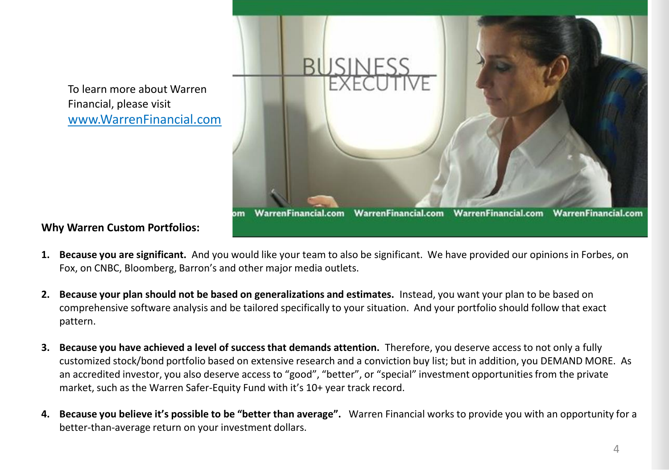To learn more about Warren Financial, please visit www.WarrenFinancial.com



**Why Warren Custom Portfolios:**

- **1. Because you are significant.** And you would like your team to also be significant. We have provided our opinions in Forbes, on Fox, on CNBC, Bloomberg, Barron's and other major media outlets.
- **2. Because your plan should not be based on generalizations and estimates.** Instead, you want your plan to be based on comprehensive software analysis and be tailored specifically to your situation. And your portfolio should follow that exact pattern.
- **3. Because you have achieved a level of success that demands attention.** Therefore, you deserve access to not only a fully customized stock/bond portfolio based on extensive research and a conviction buy list; but in addition, you DEMAND MORE. As an accredited investor, you also deserve access to "good", "better", or "special" investment opportunities from the private market, such as the Warren Safer-Equity Fund with it's 10+ year track record.
- **4. Because you believe it's possible to be "better than average".** Warren Financial works to provide you with an opportunity for a better-than-average return on your investment dollars.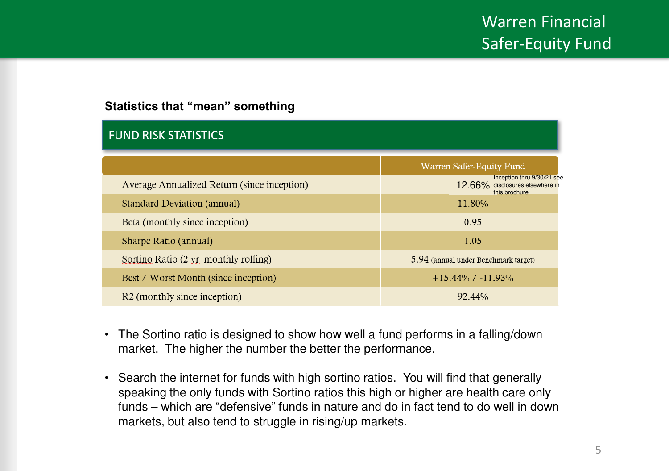### **Statistics that "mean" something**

| <b>FUND RISK STATISTICS</b>                 |                                                                                |  |  |  |
|---------------------------------------------|--------------------------------------------------------------------------------|--|--|--|
|                                             | Warren Safer-Equity Fund                                                       |  |  |  |
| Average Annualized Return (since inception) | Inception thru 9/30/21 see<br>12.66% disclosures elsewhere in<br>this brochure |  |  |  |
| Standard Deviation (annual)                 | 11.80%                                                                         |  |  |  |
| Beta (monthly since inception)              | 0.95                                                                           |  |  |  |
| Sharpe Ratio (annual)                       | 1.05                                                                           |  |  |  |
| Sortino Ratio (2 yr monthly rolling)        | 5.94 (annual under Benchmark target)                                           |  |  |  |
| Best / Worst Month (since inception)        | $+15.44\%$ / $-11.93\%$                                                        |  |  |  |
| R <sub>2</sub> (monthly since inception)    | 92.44%                                                                         |  |  |  |

- The Sortino ratio is designed to show how well a fund performs in a falling/down market. The higher the number the better the performance.
- Search the internet for funds with high sortino ratios. You will find that generally speaking the only funds with Sortino ratios this high or higher are health care only funds – which are "defensive" funds in nature and do in fact tend to do well in down markets, but also tend to struggle in rising/up markets.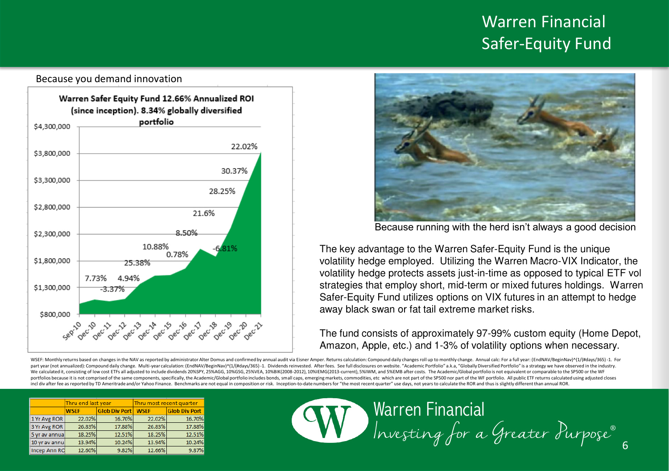

#### Because you demand innovation



Because running with the herd isn't always a good decision

The key advantage to the Warren Safer-Equity Fund is the unique volatility hedge employed. Utilizing the Warren Macro-VIX Indicator, the volatility hedge protects assets just-in-time as opposed to typical ETF vol strategies that employ short, mid-term or mixed futures holdings. Warren Safer-Equity Fund utilizes options on VIX futures in an attempt to hedge away black swan or fat tail extreme market risks.

The fund consists of approximately 97-99% custom equity (Home Depot, Amazon, Apple, etc.) and 1-3% of volatility options when necessary.

WSEF: Monthly returns based on changes in the NAV as reported by administrator Alter Domus and confirmed by annual audit via Eisner Amper. Returns calculation: Compound daily changes roll up to monthly change. Annual calc: nart year (not annualized): Compound daily change. Multi-year calculation: (FordNAV/ReginNay)^(1//#days/365)-1. Dividends reinvested. After fees. See full disclosures on website. "Academic Portfolio" a k.a. "Globally Diver We calculated it, consisting of low cost ETFs all adjusted to include dividends 20%SPY, 25%AGG, 10%GSG, 25%VEA, 10%BIK(2008-2012), 10%IEMG(2013-current), 5%IWM, and 5%EMB after costs. The Academic/Global portfolio is not e portfolios because it is not comprised of the same components, specifically, the Academic/Global portfolio includes bonds, small caps, emerging markets, commodities, etc which are not part of the SP500 nor part of the WF p incl div after fee as reported by TD Ameritrade and/or Yahoo Finance. Benchmarks are not equal in composition or risk. Inception-to-date numbers for "the most recent quarter" use days, not years to calculate the ROR and th

|               | Thru end last year |                      | Thru most recent quarter |                      |
|---------------|--------------------|----------------------|--------------------------|----------------------|
|               | <b>WSEF</b>        | <b>Glob Div Port</b> | <b>WSEF</b>              | <b>Glob Div Port</b> |
| 1 Yr Avg ROR  | 22.02%             | 16.70%               | 22.02%                   | 16.709               |
| 3 Yr Avg ROR  | 26.83%             | 17.88%               | 26.83%                   | 17.889               |
| 5 yr av annua | 18.25%             | 12.51%               | 18.25%                   | 12.519               |
| 10 yr av annu | 13.94%             | 10.24%               | 13.94%                   | 10.249               |
| Incep Ann Rd  | 12.60%             | 9.82%                | 12.66%                   | 9.87%                |

# Warren Financial Investing for a Greater Purpose®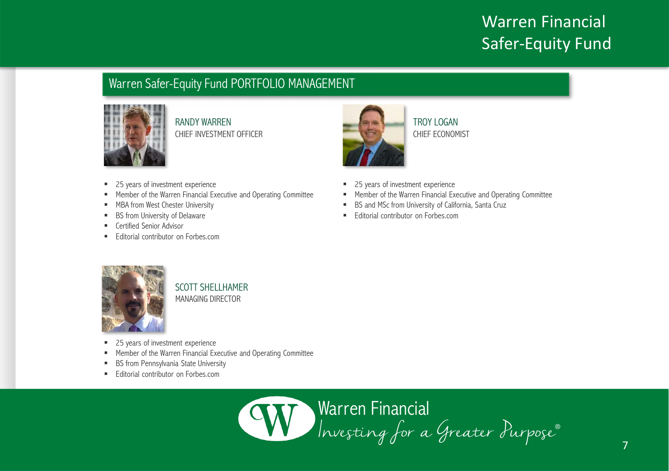### Warren Safer-Equity Fund PORTFOLIO MANAGEMENT



RANDY WARREN CHIEF INVESTMENT OFFICER

- 25 years of investment experience
- Member of the Warren Financial Executive and Operating Committee
- MBA from West Chester University
- BS from University of Delaware
- **E** Certified Senior Advisor
- Editorial contributor on Forbes.com



TROY LOGAN CHIEF ECONOMIST

- 25 years of investment experience
- Member of the Warren Financial Executive and Operating Committee
- BS and MSc from University of California, Santa Cruz
- **Editorial contributor on Forbes.com**



SCOTT SHELLHAMER MANAGING DIRECTOR

- 25 years of investment experience
- Member of the Warren Financial Executive and Operating Committee
- BS from Pennsylvania State University
- Editorial contributor on Forbes.com

Warren Financial Investing for a Greater Purpose®